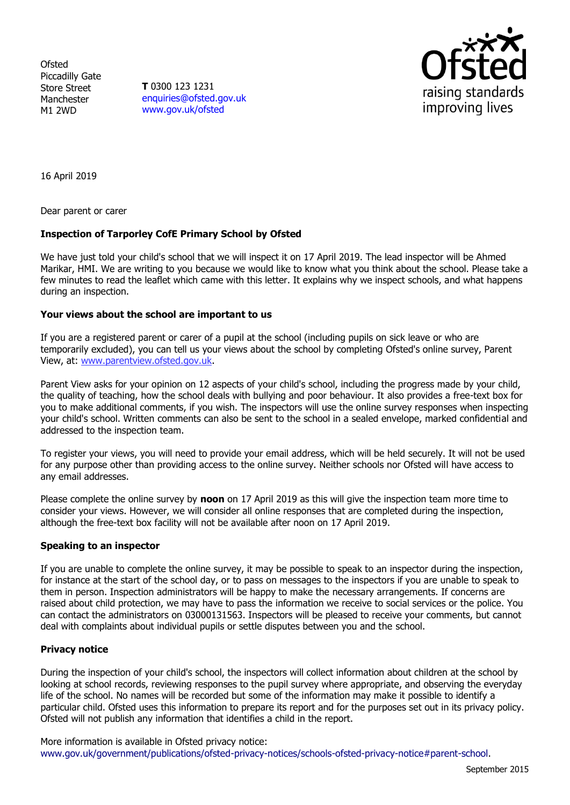**Ofsted** Piccadilly Gate Store Street Manchester M1 2WD

**T** 0300 123 1231 [enquiries@ofsted.gov.uk](mailto:enquiries@ofsted.gov.uk) [www.gov.uk/ofsted](http://www.gov.uk/ofsted)



16 April 2019

Dear parent or carer

# **Inspection of Tarporley CofE Primary School by Ofsted**

We have just told your child's school that we will inspect it on 17 April 2019. The lead inspector will be Ahmed Marikar, HMI. We are writing to you because we would like to know what you think about the school. Please take a few minutes to read the leaflet which came with this letter. It explains why we inspect schools, and what happens during an inspection.

### **Your views about the school are important to us**

If you are a registered parent or carer of a pupil at the school (including pupils on sick leave or who are temporarily excluded), you can tell us your views about the school by completing Ofsted's online survey, Parent View, at: [www.parentview.ofsted.gov.uk.](http://www.parentview.ofsted.gov.uk/)

Parent View asks for your opinion on 12 aspects of your child's school, including the progress made by your child, the quality of teaching, how the school deals with bullying and poor behaviour. It also provides a free-text box for you to make additional comments, if you wish. The inspectors will use the online survey responses when inspecting your child's school. Written comments can also be sent to the school in a sealed envelope, marked confidential and addressed to the inspection team.

To register your views, you will need to provide your email address, which will be held securely. It will not be used for any purpose other than providing access to the online survey. Neither schools nor Ofsted will have access to any email addresses.

Please complete the online survey by **noon** on 17 April 2019 as this will give the inspection team more time to consider your views. However, we will consider all online responses that are completed during the inspection, although the free-text box facility will not be available after noon on 17 April 2019.

### **Speaking to an inspector**

If you are unable to complete the online survey, it may be possible to speak to an inspector during the inspection, for instance at the start of the school day, or to pass on messages to the inspectors if you are unable to speak to them in person. Inspection administrators will be happy to make the necessary arrangements. If concerns are raised about child protection, we may have to pass the information we receive to social services or the police. You can contact the administrators on 03000131563. Inspectors will be pleased to receive your comments, but cannot deal with complaints about individual pupils or settle disputes between you and the school.

### **Privacy notice**

During the inspection of your child's school, the inspectors will collect information about children at the school by looking at school records, reviewing responses to the pupil survey where appropriate, and observing the everyday life of the school. No names will be recorded but some of the information may make it possible to identify a particular child. Ofsted uses this information to prepare its report and for the purposes set out in its privacy policy. Ofsted will not publish any information that identifies a child in the report.

More information is available in Ofsted privacy notice: [www.gov.uk/government/publications/ofsted-privacy-notices/schools-ofsted-privacy-notice#parent-school.](http://www.gov.uk/government/publications/ofsted-privacy-notices/schools-ofsted-privacy-notice#parent-school)